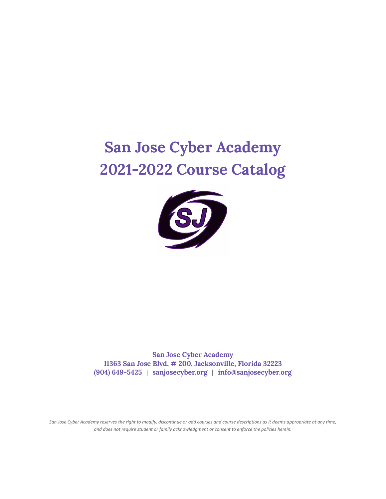# **San Jose Cyber Academy 2021-2022 Course Catalog**



**San Jose Cyber Academy 11363 San Jose Blvd, # 200, Jacksonville, Florida 32223 (904) 649-5425** | **sanjosecyber.org** | **info@sanjosecyber.org**

San Jose Cyber Academy reserves the right to modify, discontinue or add courses and course descriptions as it deems appropriate at any time, *and does not require student or family acknowledgment or consent to enforce the policies herein.*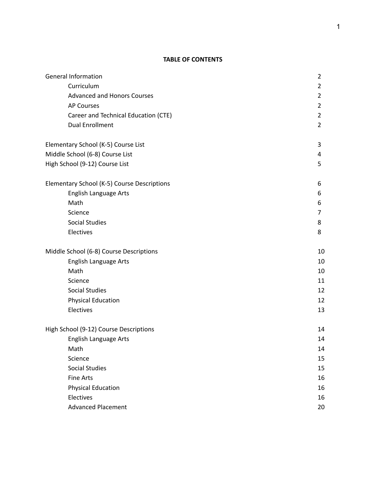# **TABLE OF CONTENTS**

| <b>General Information</b>                  | $\overline{2}$ |
|---------------------------------------------|----------------|
| Curriculum                                  | $\overline{2}$ |
| <b>Advanced and Honors Courses</b>          | $\overline{2}$ |
| <b>AP Courses</b>                           | $\overline{2}$ |
| Career and Technical Education (CTE)        | $\overline{2}$ |
| <b>Dual Enrollment</b>                      | $\overline{2}$ |
| Elementary School (K-5) Course List         | 3              |
| Middle School (6-8) Course List             | 4              |
| High School (9-12) Course List              | 5              |
| Elementary School (K-5) Course Descriptions | 6              |
| English Language Arts                       | 6              |
| Math                                        | 6              |
| Science                                     | 7              |
| <b>Social Studies</b>                       | 8              |
| Electives                                   | 8              |
| Middle School (6-8) Course Descriptions     | 10             |
| English Language Arts                       | 10             |
| Math                                        | 10             |
| Science                                     | 11             |
| <b>Social Studies</b>                       | 12             |
| <b>Physical Education</b>                   | 12             |
| Electives                                   | 13             |
| High School (9-12) Course Descriptions      | 14             |
| English Language Arts                       | 14             |
| Math                                        | 14             |
| Science                                     | 15             |
| <b>Social Studies</b>                       | 15             |
| <b>Fine Arts</b>                            | 16             |
| <b>Physical Education</b>                   | 16             |
| Electives                                   | 16             |
| <b>Advanced Placement</b>                   | 20             |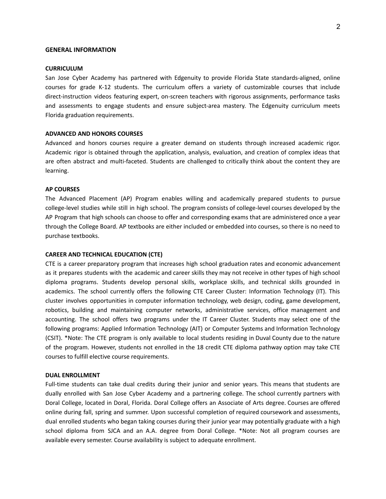#### **GENERAL INFORMATION**

#### **CURRICULUM**

San Jose Cyber Academy has partnered with Edgenuity to provide Florida State standards-aligned, online courses for grade K-12 students. The curriculum offers a variety of customizable courses that include direct-instruction videos featuring expert, on-screen teachers with rigorous assignments, performance tasks and assessments to engage students and ensure subject-area mastery. The Edgenuity curriculum meets Florida graduation requirements.

## **ADVANCED AND HONORS COURSES**

Advanced and honors courses require a greater demand on students through increased academic rigor. Academic rigor is obtained through the application, analysis, evaluation, and creation of complex ideas that are often abstract and multi-faceted. Students are challenged to critically think about the content they are learning.

#### **AP COURSES**

The Advanced Placement (AP) Program enables willing and academically prepared students to pursue college-level studies while still in high school. The program consists of college-level courses developed by the AP Program that high schools can choose to offer and corresponding exams that are administered once a year through the College Board. AP textbooks are either included or embedded into courses, so there is no need to purchase textbooks.

#### **CAREER AND TECHNICAL EDUCATION (CTE)**

CTE is a career preparatory program that increases high school graduation rates and economic advancement as it prepares students with the academic and career skills they may not receive in other types of high school diploma programs. Students develop personal skills, workplace skills, and technical skills grounded in academics. The school currently offers the following CTE Career Cluster: Information Technology (IT). This cluster involves opportunities in computer information technology, web design, coding, game development, robotics, building and maintaining computer networks, administrative services, office management and accounting. The school offers two programs under the IT Career Cluster. Students may select one of the following programs: Applied Information Technology (AIT) or Computer Systems and Information Technology (CSIT). \*Note: The CTE program is only available to local students residing in Duval County due to the nature of the program. However, students not enrolled in the 18 credit CTE diploma pathway option may take CTE courses to fulfill elective course requirements.

## **DUAL ENROLLMENT**

Full-time students can take dual credits during their junior and senior years. This means that students are dually enrolled with San Jose Cyber Academy and a partnering college. The school currently partners with Doral College, located in Doral, Florida. Doral College offers an Associate of Arts degree. Courses are offered online during fall, spring and summer. Upon successful completion of required coursework and assessments, dual enrolled students who began taking courses during their junior year may potentially graduate with a high school diploma from SJCA and an A.A. degree from Doral College. \*Note: Not all program courses are available every semester. Course availability is subject to adequate enrollment.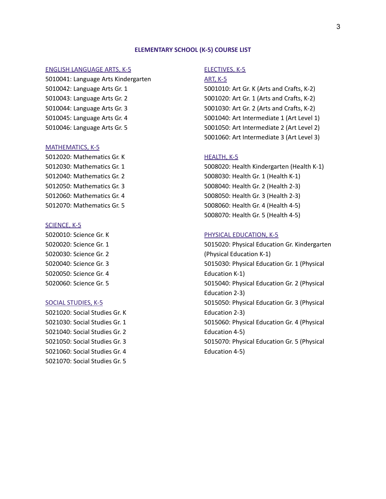## **ELEMENTARY SCHOOL (K-5) COURSE LIST**

## ENGLISH LANGUAGE ARTS, K-5

5010041: Language Arts Kindergarten 5010042: Language Arts Gr. 1 5010043: Language Arts Gr. 2 5010044: Language Arts Gr. 3 5010045: Language Arts Gr. 4 5010046: Language Arts Gr. 5

## MATHEMATICS, K-5

5012020: Mathematics Gr. K 5012030: Mathematics Gr. 1 5012040: Mathematics Gr. 2 5012050: Mathematics Gr. 3 5012060: Mathematics Gr. 4 5012070: Mathematics Gr. 5

## SCIENCE, K-5

5020010: Science Gr. K 5020020: Science Gr. 1 5020030: Science Gr. 2 5020040: Science Gr. 3 5020050: Science Gr. 4 5020060: Science Gr. 5

## SOCIAL STUDIES, K-5

5021020: Social Studies Gr. K 5021030: Social Studies Gr. 1 5021040: Social Studies Gr. 2 5021050: Social Studies Gr. 3 5021060: Social Studies Gr. 4 5021070: Social Studies Gr. 5

## ELECTIVES, K-5

#### ART, K-5

5001010: Art Gr. K (Arts and Crafts, K-2) 5001020: Art Gr. 1 (Arts and Crafts, K-2) 5001030: Art Gr. 2 (Arts and Crafts, K-2) 5001040: Art Intermediate 1 (Art Level 1) 5001050: Art Intermediate 2 (Art Level 2) 5001060: Art Intermediate 3 (Art Level 3)

## HEALTH, K-5

5008020: Health Kindergarten (Health K-1) 5008030: Health Gr. 1 (Health K-1) 5008040: Health Gr. 2 (Health 2-3) 5008050: Health Gr. 3 (Health 2-3) 5008060: Health Gr. 4 (Health 4-5) 5008070: Health Gr. 5 (Health 4-5)

#### PHYSICAL EDUCATION, K-5

5015020: Physical Education Gr. Kindergarten (Physical Education K-1) 5015030: Physical Education Gr. 1 (Physical Education K-1) 5015040: Physical Education Gr. 2 (Physical Education 2-3) 5015050: Physical Education Gr. 3 (Physical Education 2-3) 5015060: Physical Education Gr. 4 (Physical Education 4-5) 5015070: Physical Education Gr. 5 (Physical Education 4-5)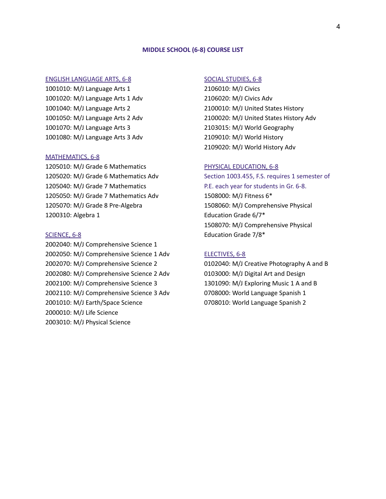#### **MIDDLE SCHOOL (6-8) COURSE LIST**

## ENGLISH LANGUAGE ARTS, 6-8

1001010: M/J Language Arts 1 1001020: M/J Language Arts 1 Adv 1001040: M/J Language Arts 2 1001050: M/J Language Arts 2 Adv 1001070: M/J Language Arts 3 1001080: M/J Language Arts 3 Adv

## MATHEMATICS, 6-8

1205010: M/J Grade 6 Mathematics 1205020: M/J Grade 6 Mathematics Adv 1205040: M/J Grade 7 Mathematics 1205050: M/J Grade 7 Mathematics Adv 1205070: M/J Grade 8 Pre-Algebra 1200310: Algebra 1

#### SCIENCE, 6-8

2002040: M/J Comprehensive Science 1 2002050: M/J Comprehensive Science 1 Adv 2002070: M/J Comprehensive Science 2 2002080: M/J Comprehensive Science 2 Adv 2002100: M/J Comprehensive Science 3 2002110: M/J Comprehensive Science 3 Adv 2001010: M/J Earth/Space Science 2000010: M/J Life Science 2003010: M/J Physical Science

## SOCIAL STUDIES, 6-8

2106010: M/J Civics 2106020: M/J Civics Adv 2100010: M/J United States History 2100020: M/J United States History Adv 2103015: M/J World Geography 2109010: M/J World History 2109020: M/J World History Adv

## PHYSICAL EDUCATION, 6-8

Section 1003.455, F.S. requires 1 semester of P.E. each year for students in Gr. 6-8. 1508000: M/J Fitness 6\* 1508060: M/J Comprehensive Physical Education Grade 6/7\* 1508070: M/J Comprehensive Physical Education Grade 7/8\*

## ELECTIVES, 6-8

0102040: M/J Creative Photography A and B 0103000: M/J Digital Art and Design 1301090: M/J Exploring Music 1 A and B 0708000: World Language Spanish 1 0708010: World Language Spanish 2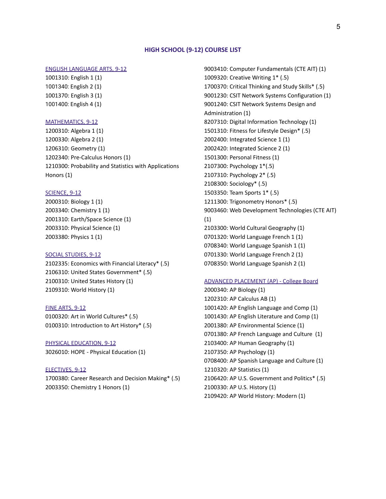#### **HIGH SCHOOL (9-12) COURSE LIST**

## ENGLISH LANGUAGE ARTS, 9-12

1001310: English 1 (1) 1001340: English 2 (1) 1001370: English 3 (1) 1001400: English 4 (1)

#### MATHEMATICS, 9-12

1200310: Algebra 1 (1) 1200330: Algebra 2 (1) 1206310: Geometry (1) 1202340: Pre-Calculus Honors (1) 1210300: Probability and Statistics with Applications Honors (1)

#### **SCIENCE, 9-12**

2000310: Biology 1 (1) 2003340: Chemistry 1 (1) 2001310: Earth/Space Science (1) 2003310: Physical Science (1) 2003380: Physics 1 (1)

#### SOCIAL STUDIES, 9-12

2102335: Economics with Financial Literacy\* (.5) 2106310: United States Government\* (.5) 2100310: United States History (1) 2109310: World History (1)

#### FINE ARTS, 9-12

0100320: Art in World Cultures\* (.5) 0100310: Introduction to Art History\* (.5)

PHYSICAL EDUCATION, 9-12 3026010: HOPE - Physical Education (1)

#### ELECTIVES, 9-12

1700380: Career Research and Decision Making\* (.5) 2003350: Chemistry 1 Honors (1)

9003410: Computer Fundamentals (CTE AIT) (1) 1009320: Creative Writing 1\* (.5) 1700370: Critical Thinking and Study Skills\* (.5) 9001230: CSIT Network Systems Configuration (1) 9001240: CSIT Network Systems Design and Administration (1) 8207310: Digital Information Technology (1) 1501310: Fitness for Lifestyle Design\* (.5) 2002400: Integrated Science 1 (1) 2002420: Integrated Science 2 (1) 1501300: Personal Fitness (1) 2107300: Psychology 1\*(.5) 2107310: Psychology 2\* (.5) 2108300: Sociology\* (.5) 1503350: Team Sports 1\* (.5) 1211300: Trigonometry Honors\* (.5) 9003460: Web Development Technologies (CTE AIT) (1) 2103300: World Cultural Geography (1) 0701320: World Language French 1 (1) 0708340: World Language Spanish 1 (1) 0701330: World Language French 2 (1) 0708350: World Language Spanish 2 (1)

#### ADVANCED PLACEMENT (AP) - College Board

2000340: AP Biology (1) 1202310: AP Calculus AB (1) 1001420: AP English Language and Comp (1) 1001430: AP English Literature and Comp (1) 2001380: AP Environmental Science (1) 0701380: AP French Language and Culture (1) 2103400: AP Human Geography (1) 2107350: AP Psychology (1) 0708400: AP Spanish Language and Culture (1) 1210320: AP Statistics (1) 2106420: AP U.S. Government and Politics\* (.5) 2100330: AP U.S. History (1) 2109420: AP World History: Modern (1)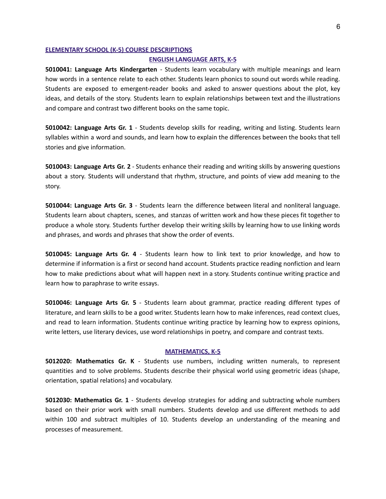#### **ELEMENTARY SCHOOL (K-5) COURSE DESCRIPTIONS**

#### **ENGLISH LANGUAGE ARTS, K-5**

**5010041: Language Arts Kindergarten** - Students learn vocabulary with multiple meanings and learn how words in a sentence relate to each other. Students learn phonics to sound out words while reading. Students are exposed to emergent-reader books and asked to answer questions about the plot, key ideas, and details of the story. Students learn to explain relationships between text and the illustrations and compare and contrast two different books on the same topic.

**5010042: Language Arts Gr. 1** - Students develop skills for reading, writing and listing. Students learn syllables within a word and sounds, and learn how to explain the differences between the books that tell stories and give information.

**5010043: Language Arts Gr. 2** - Students enhance their reading and writing skills by answering questions about a story. Students will understand that rhythm, structure, and points of view add meaning to the story.

**5010044: Language Arts Gr. 3** - Students learn the difference between literal and nonliteral language. Students learn about chapters, scenes, and stanzas of written work and how these pieces fit together to produce a whole story. Students further develop their writing skills by learning how to use linking words and phrases, and words and phrases that show the order of events.

**5010045: Language Arts Gr. 4** - Students learn how to link text to prior knowledge, and how to determine if information is a first or second hand account. Students practice reading nonfiction and learn how to make predictions about what will happen next in a story. Students continue writing practice and learn how to paraphrase to write essays.

**5010046: Language Arts Gr. 5** - Students learn about grammar, practice reading different types of literature, and learn skills to be a good writer. Students learn how to make inferences, read context clues, and read to learn information. Students continue writing practice by learning how to express opinions, write letters, use literary devices, use word relationships in poetry, and compare and contrast texts.

#### **MATHEMATICS, K-5**

**5012020: Mathematics Gr. K** - Students use numbers, including written numerals, to represent quantities and to solve problems. Students describe their physical world using geometric ideas (shape, orientation, spatial relations) and vocabulary.

**5012030: Mathematics Gr. 1** - Students develop strategies for adding and subtracting whole numbers based on their prior work with small numbers. Students develop and use different methods to add within 100 and subtract multiples of 10. Students develop an understanding of the meaning and processes of measurement.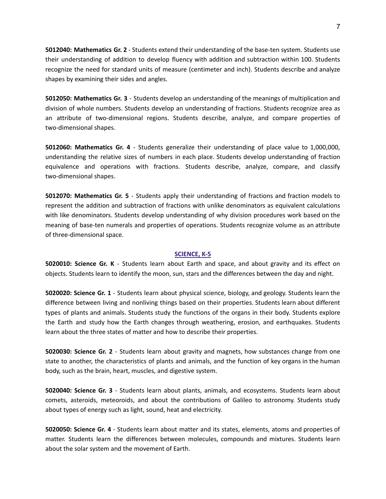**5012040: Mathematics Gr. 2** - Students extend their understanding of the base-ten system. Students use their understanding of addition to develop fluency with addition and subtraction within 100. Students recognize the need for standard units of measure (centimeter and inch). Students describe and analyze shapes by examining their sides and angles.

**5012050: Mathematics Gr. 3** - Students develop an understanding of the meanings of multiplication and division of whole numbers. Students develop an understanding of fractions. Students recognize area as an attribute of two-dimensional regions. Students describe, analyze, and compare properties of two-dimensional shapes.

**5012060: Mathematics Gr. 4** - Students generalize their understanding of place value to 1,000,000, understanding the relative sizes of numbers in each place. Students develop understanding of fraction equivalence and operations with fractions. Students describe, analyze, compare, and classify two-dimensional shapes.

**5012070: Mathematics Gr. 5** - Students apply their understanding of fractions and fraction models to represent the addition and subtraction of fractions with unlike denominators as equivalent calculations with like denominators. Students develop understanding of why division procedures work based on the meaning of base-ten numerals and properties of operations. Students recognize volume as an attribute of three-dimensional space.

## **SCIENCE, K-5**

**5020010: Science Gr. K** - Students learn about Earth and space, and about gravity and its effect on objects. Students learn to identify the moon, sun, stars and the differences between the day and night.

**5020020: Science Gr. 1** - Students learn about physical science, biology, and geology. Students learn the difference between living and nonliving things based on their properties. Students learn about different types of plants and animals. Students study the functions of the organs in their body. Students explore the Earth and study how the Earth changes through weathering, erosion, and earthquakes. Students learn about the three states of matter and how to describe their properties.

**5020030: Science Gr. 2** - Students learn about gravity and magnets, how substances change from one state to another, the characteristics of plants and animals, and the function of key organs in the human body, such as the brain, heart, muscles, and digestive system.

**5020040: Science Gr. 3** - Students learn about plants, animals, and ecosystems. Students learn about comets, asteroids, meteoroids, and about the contributions of Galileo to astronomy. Students study about types of energy such as light, sound, heat and electricity.

**5020050: Science Gr. 4** - Students learn about matter and its states, elements, atoms and properties of matter. Students learn the differences between molecules, compounds and mixtures. Students learn about the solar system and the movement of Earth.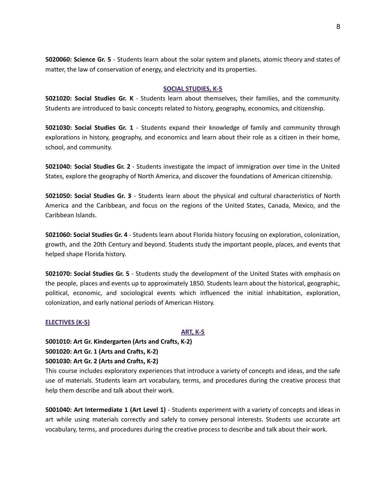**5020060: Science Gr. 5** - Students learn about the solar system and planets, atomic theory and states of matter, the law of conservation of energy, and electricity and its properties.

## **SOCIAL STUDIES, K-5**

**5021020: Social Studies Gr. K** - Students learn about themselves, their families, and the community. Students are introduced to basic concepts related to history, geography, economics, and citizenship.

**5021030: Social Studies Gr. 1** - Students expand their knowledge of family and community through explorations in history, geography, and economics and learn about their role as a citizen in their home, school, and community.

**5021040: Social Studies Gr. 2** - Students investigate the impact of immigration over time in the United States, explore the geography of North America, and discover the foundations of American citizenship.

**5021050: Social Studies Gr. 3** - Students learn about the physical and cultural characteristics of North America and the Caribbean, and focus on the regions of the United States, Canada, Mexico, and the Caribbean Islands.

**5021060: Social Studies Gr. 4** - Students learn about Florida history focusing on exploration, colonization, growth, and the 20th Century and beyond. Students study the important people, places, and events that helped shape Florida history.

**5021070: Social Studies Gr. 5** - Students study the development of the United States with emphasis on the people, places and events up to approximately 1850. Students learn about the historical, geographic, political, economic, and sociological events which influenced the initial inhabitation, exploration, colonization, and early national periods of American History.

## **ELECTIVES (K-5)**

## **ART, K-5**

**5001010: Art Gr. Kindergarten (Arts and Crafts, K-2)**

```
5001020: Art Gr. 1 (Arts and Crafts, K-2)
```
## **5001030: Art Gr. 2 (Arts and Crafts, K-2)**

This course includes exploratory experiences that introduce a variety of concepts and ideas, and the safe use of materials. Students learn art vocabulary, terms, and procedures during the creative process that help them describe and talk about their work.

**5001040: Art Intermediate 1 (Art Level 1)** - Students experiment with a variety of concepts and ideas in art while using materials correctly and safely to convey personal interests. Students use accurate art vocabulary, terms, and procedures during the creative process to describe and talk about their work.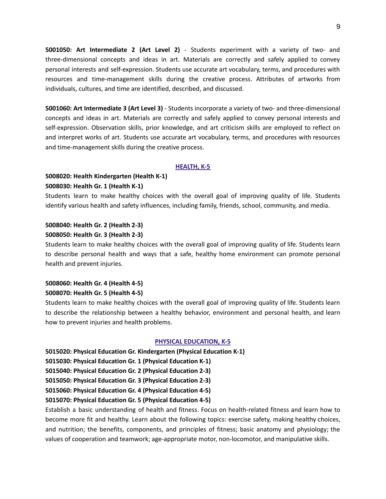**5001050: Art Intermediate 2 (Art Level 2)** - Students experiment with a variety of two- and three-dimensional concepts and ideas in art. Materials are correctly and safely applied to convey personal interests and self-expression. Students use accurate art vocabulary, terms, and procedures with resources and time-management skills during the creative process. Attributes of artworks from individuals, cultures, and time are identified, described, and discussed.

**5001060: Art Intermediate 3 (Art Level 3)** - Students incorporate a variety of two- and three-dimensional concepts and ideas in art. Materials are correctly and safely applied to convey personal interests and self-expression. Observation skills, prior knowledge, and art criticism skills are employed to reflect on and interpret works of art. Students use accurate art vocabulary, terms, and procedures with resources and time-management skills during the creative process.

## **HEALTH, K-5**

# **5008020: Health Kindergarten (Health K-1) 5008030: Health Gr. 1 (Health K-1)**

Students learn to make healthy choices with the overall goal of improving quality of life. Students identify various health and safety influences, including family, friends, school, community, and media.

# **5008040: Health Gr. 2 (Health 2-3) 5008050: Health Gr. 3 (Health 2-3)**

Students learn to make healthy choices with the overall goal of improving quality of life. Students learn to describe personal health and ways that a safe, healthy home environment can promote personal health and prevent injuries.

# **5008060: Health Gr. 4 (Health 4-5) 5008070: Health Gr. 5 (Health 4-5)**

Students learn to make healthy choices with the overall goal of improving quality of life. Students learn to describe the relationship between a healthy behavior, environment and personal health, and learn how to prevent injuries and health problems.

## **PHYSICAL EDUCATION, K-5**

**5015020: Physical Education Gr. Kindergarten (Physical Education K-1)**

**5015030: Physical Education Gr. 1 (Physical Education K-1)**

**5015040: Physical Education Gr. 2 (Physical Education 2-3)**

**5015050: Physical Education Gr. 3 (Physical Education 2-3)**

**5015060: Physical Education Gr. 4 (Physical Education 4-5)**

# **5015070: Physical Education Gr. 5 (Physical Education 4-5)**

Establish a basic understanding of health and fitness. Focus on health-related fitness and learn how to become more fit and healthy. Learn about the following topics: exercise safety, making healthy choices, and nutrition; the benefits, components, and principles of fitness; basic anatomy and physiology; the values of cooperation and teamwork; age-appropriate motor, non-locomotor, and manipulative skills.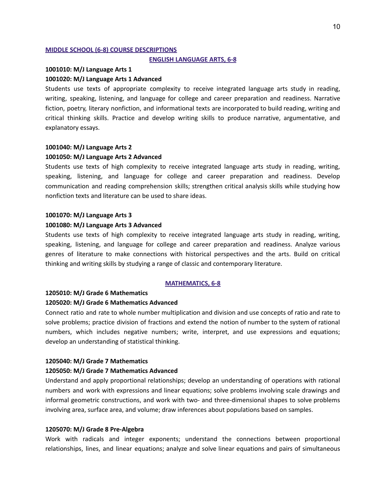## **MIDDLE SCHOOL (6-8) COURSE DESCRIPTIONS**

#### **ENGLISH LANGUAGE ARTS, 6-8**

## **1001010: M/J Language Arts 1**

## **1001020: M/J Language Arts 1 Advanced**

Students use texts of appropriate complexity to receive integrated language arts study in reading, writing, speaking, listening, and language for college and career preparation and readiness. Narrative fiction, poetry, literary nonfiction, and informational texts are incorporated to build reading, writing and critical thinking skills. Practice and develop writing skills to produce narrative, argumentative, and explanatory essays.

#### **1001040: M/J Language Arts 2**

#### **1001050: M/J Language Arts 2 Advanced**

Students use texts of high complexity to receive integrated language arts study in reading, writing, speaking, listening, and language for college and career preparation and readiness. Develop communication and reading comprehension skills; strengthen critical analysis skills while studying how nonfiction texts and literature can be used to share ideas.

#### **1001070: M/J Language Arts 3**

## **1001080: M/J Language Arts 3 Advanced**

Students use texts of high complexity to receive integrated language arts study in reading, writing, speaking, listening, and language for college and career preparation and readiness. Analyze various genres of literature to make connections with historical perspectives and the arts. Build on critical thinking and writing skills by studying a range of classic and contemporary literature.

## **MATHEMATICS, 6-8**

## **1205010: M/J Grade 6 Mathematics**

## **1205020: M/J Grade 6 Mathematics Advanced**

Connect ratio and rate to whole number multiplication and division and use concepts of ratio and rate to solve problems; practice division of fractions and extend the notion of number to the system of rational numbers, which includes negative numbers; write, interpret, and use expressions and equations; develop an understanding of statistical thinking.

## **1205040: M/J Grade 7 Mathematics**

#### **1205050: M/J Grade 7 Mathematics Advanced**

Understand and apply proportional relationships; develop an understanding of operations with rational numbers and work with expressions and linear equations; solve problems involving scale drawings and informal geometric constructions, and work with two- and three-dimensional shapes to solve problems involving area, surface area, and volume; draw inferences about populations based on samples.

## **1205070: M/J Grade 8 Pre-Algebra**

Work with radicals and integer exponents; understand the connections between proportional relationships, lines, and linear equations; analyze and solve linear equations and pairs of simultaneous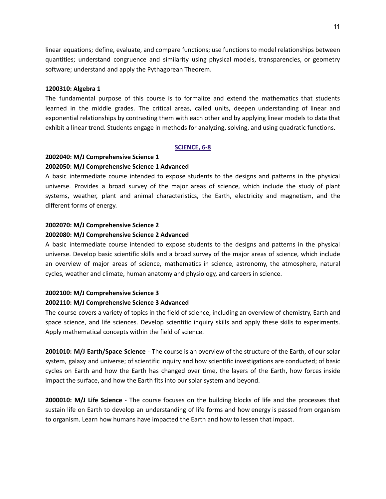linear equations; define, evaluate, and compare functions; use functions to model relationships between quantities; understand congruence and similarity using physical models, transparencies, or geometry software; understand and apply the Pythagorean Theorem.

## **1200310: Algebra 1**

The fundamental purpose of this course is to formalize and extend the mathematics that students learned in the middle grades. The critical areas, called units, deepen understanding of linear and exponential relationships by contrasting them with each other and by applying linear models to data that exhibit a linear trend. Students engage in methods for analyzing, solving, and using quadratic functions.

## **SCIENCE, 6-8**

# **2002040: M/J Comprehensive Science 1**

## **2002050: M/J Comprehensive Science 1 Advanced**

A basic intermediate course intended to expose students to the designs and patterns in the physical universe. Provides a broad survey of the major areas of science, which include the study of plant systems, weather, plant and animal characteristics, the Earth, electricity and magnetism, and the different forms of energy.

# **2002070: M/J Comprehensive Science 2 2002080: M/J Comprehensive Science 2 Advanced**

A basic intermediate course intended to expose students to the designs and patterns in the physical universe. Develop basic scientific skills and a broad survey of the major areas of science, which include an overview of major areas of science, mathematics in science, astronomy, the atmosphere, natural cycles, weather and climate, human anatomy and physiology, and careers in science.

## **2002100: M/J Comprehensive Science 3**

## **2002110: M/J Comprehensive Science 3 Advanced**

The course covers a variety of topics in the field of science, including an overview of chemistry, Earth and space science, and life sciences. Develop scientific inquiry skills and apply these skills to experiments. Apply mathematical concepts within the field of science.

**2001010: M/J Earth/Space Science** - The course is an overview of the structure of the Earth, of our solar system, galaxy and universe; of scientific inquiry and how scientific investigations are conducted; of basic cycles on Earth and how the Earth has changed over time, the layers of the Earth, how forces inside impact the surface, and how the Earth fits into our solar system and beyond.

**2000010: M/J Life Science** - The course focuses on the building blocks of life and the processes that sustain life on Earth to develop an understanding of life forms and how energy is passed from organism to organism. Learn how humans have impacted the Earth and how to lessen that impact.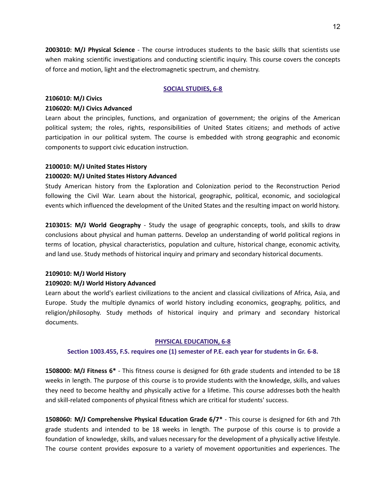**2003010: M/J Physical Science** - The course introduces students to the basic skills that scientists use when making scientific investigations and conducting scientific inquiry. This course covers the concepts of force and motion, light and the electromagnetic spectrum, and chemistry.

## **SOCIAL STUDIES, 6-8**

## **2106010: M/J Civics**

## **2106020: M/J Civics Advanced**

Learn about the principles, functions, and organization of government; the origins of the American political system; the roles, rights, responsibilities of United States citizens; and methods of active participation in our political system. The course is embedded with strong geographic and economic components to support civic education instruction.

## **2100010: M/J United States History**

## **2100020: M/J United States History Advanced**

Study American history from the Exploration and Colonization period to the Reconstruction Period following the Civil War. Learn about the historical, geographic, political, economic, and sociological events which influenced the development of the United States and the resulting impact on world history.

**2103015: M/J World Geography** - Study the usage of geographic concepts, tools, and skills to draw conclusions about physical and human patterns. Develop an understanding of world political regions in terms of location, physical characteristics, population and culture, historical change, economic activity, and land use. Study methods of historical inquiry and primary and secondary historical documents.

## **2109010: M/J World History**

## **2109020: M/J World History Advanced**

Learn about the world's earliest civilizations to the ancient and classical civilizations of Africa, Asia, and Europe. Study the multiple dynamics of world history including economics, geography, politics, and religion/philosophy. Study methods of historical inquiry and primary and secondary historical documents.

#### **PHYSICAL EDUCATION, 6-8**

## **Section 1003.455, F.S. requires one (1) semester of P.E. each year for students in Gr. 6-8.**

**1508000: M/J Fitness 6\*** - This fitness course is designed for 6th grade students and intended to be 18 weeks in length. The purpose of this course is to provide students with the knowledge, skills, and values they need to become healthy and physically active for a lifetime. This course addresses both the health and skill-related components of physical fitness which are critical for students' success.

**1508060: M/J Comprehensive Physical Education Grade 6/7\*** - This course is designed for 6th and 7th grade students and intended to be 18 weeks in length. The purpose of this course is to provide a foundation of knowledge, skills, and values necessary for the development of a physically active lifestyle. The course content provides exposure to a variety of movement opportunities and experiences. The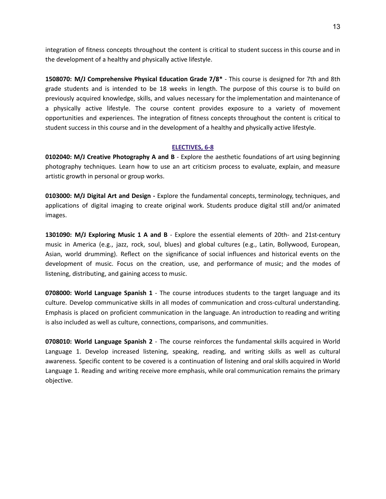integration of fitness concepts throughout the content is critical to student success in this course and in the development of a healthy and physically active lifestyle.

**1508070: M/J Comprehensive Physical Education Grade 7/8\*** - This course is designed for 7th and 8th grade students and is intended to be 18 weeks in length. The purpose of this course is to build on previously acquired knowledge, skills, and values necessary for the implementation and maintenance of a physically active lifestyle. The course content provides exposure to a variety of movement opportunities and experiences. The integration of fitness concepts throughout the content is critical to student success in this course and in the development of a healthy and physically active lifestyle.

# **ELECTIVES, 6-8**

**0102040: M/J Creative Photography A and B** - Explore the aesthetic foundations of art using beginning photography techniques. Learn how to use an art criticism process to evaluate, explain, and measure artistic growth in personal or group works.

**0103000: M/J Digital Art and Design -** Explore the fundamental concepts, terminology, techniques, and applications of digital imaging to create original work. Students produce digital still and/or animated images.

**1301090: M/J Exploring Music 1 A and B** - Explore the essential elements of 20th- and 21st-century music in America (e.g., jazz, rock, soul, blues) and global cultures (e.g., Latin, Bollywood, European, Asian, world drumming). Reflect on the significance of social influences and historical events on the development of music. Focus on the creation, use, and performance of music; and the modes of listening, distributing, and gaining access to music.

**0708000: World Language Spanish 1** - The course introduces students to the target language and its culture. Develop communicative skills in all modes of communication and cross-cultural understanding. Emphasis is placed on proficient communication in the language. An introduction to reading and writing is also included as well as culture, connections, comparisons, and communities.

**0708010: World Language Spanish 2** - The course reinforces the fundamental skills acquired in World Language 1. Develop increased listening, speaking, reading, and writing skills as well as cultural awareness. Specific content to be covered is a continuation of listening and oral skills acquired in World Language 1. Reading and writing receive more emphasis, while oral communication remains the primary objective.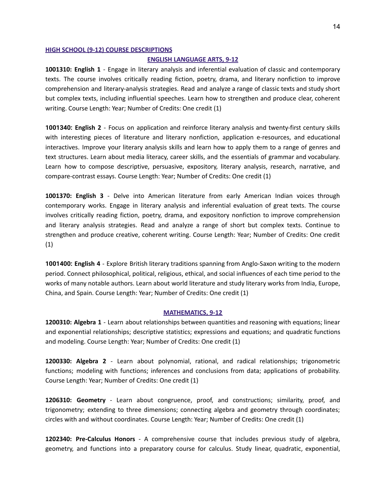#### **HIGH SCHOOL (9-12) COURSE DESCRIPTIONS**

#### **ENGLISH LANGUAGE ARTS, 9-12**

**1001310: English 1** - Engage in literary analysis and inferential evaluation of classic and contemporary texts. The course involves critically reading fiction, poetry, drama, and literary nonfiction to improve comprehension and literary-analysis strategies. Read and analyze a range of classic texts and study short but complex texts, including influential speeches. Learn how to strengthen and produce clear, coherent writing. Course Length: Year; Number of Credits: One credit (1)

**1001340: English 2** - Focus on application and reinforce literary analysis and twenty-first century skills with interesting pieces of literature and literary nonfiction, application e-resources, and educational interactives. Improve your literary analysis skills and learn how to apply them to a range of genres and text structures. Learn about media literacy, career skills, and the essentials of grammar and vocabulary. Learn how to compose descriptive, persuasive, expository, literary analysis, research, narrative, and compare-contrast essays. Course Length: Year; Number of Credits: One credit (1)

**1001370: English 3** - Delve into American literature from early American Indian voices through contemporary works. Engage in literary analysis and inferential evaluation of great texts. The course involves critically reading fiction, poetry, drama, and expository nonfiction to improve comprehension and literary analysis strategies. Read and analyze a range of short but complex texts. Continue to strengthen and produce creative, coherent writing. Course Length: Year; Number of Credits: One credit (1)

**1001400: English 4** - Explore British literary traditions spanning from Anglo-Saxon writing to the modern period. Connect philosophical, political, religious, ethical, and social influences of each time period to the works of many notable authors. Learn about world literature and study literary works from India, Europe, China, and Spain. Course Length: Year; Number of Credits: One credit (1)

## **MATHEMATICS, 9-12**

**1200310: Algebra 1** - Learn about relationships between quantities and reasoning with equations; linear and exponential relationships; descriptive statistics; expressions and equations; and quadratic functions and modeling. Course Length: Year; Number of Credits: One credit (1)

**1200330: Algebra 2** - Learn about polynomial, rational, and radical relationships; trigonometric functions; modeling with functions; inferences and conclusions from data; applications of probability. Course Length: Year; Number of Credits: One credit (1)

**1206310: Geometry** - Learn about congruence, proof, and constructions; similarity, proof, and trigonometry; extending to three dimensions; connecting algebra and geometry through coordinates; circles with and without coordinates. Course Length: Year; Number of Credits: One credit (1)

**1202340: Pre-Calculus Honors** - A comprehensive course that includes previous study of algebra, geometry, and functions into a preparatory course for calculus. Study linear, quadratic, exponential,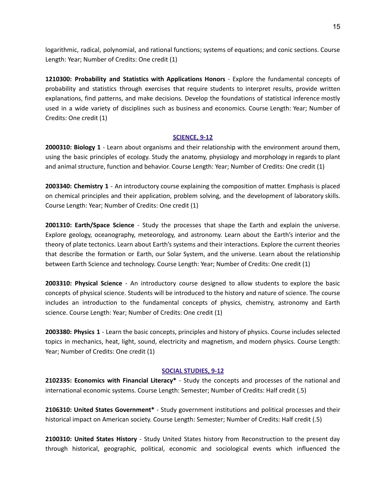logarithmic, radical, polynomial, and rational functions; systems of equations; and conic sections. Course Length: Year; Number of Credits: One credit (1)

**1210300: Probability and Statistics with Applications Honors** - Explore the fundamental concepts of probability and statistics through exercises that require students to interpret results, provide written explanations, find patterns, and make decisions. Develop the foundations of statistical inference mostly used in a wide variety of disciplines such as business and economics. Course Length: Year; Number of Credits: One credit (1)

## **SCIENCE, 9-12**

**2000310: Biology 1** - Learn about organisms and their relationship with the environment around them, using the basic principles of ecology. Study the anatomy, physiology and morphology in regards to plant and animal structure, function and behavior. Course Length: Year; Number of Credits: One credit (1)

**2003340: Chemistry 1** - An introductory course explaining the composition of matter. Emphasis is placed on chemical principles and their application, problem solving, and the development of laboratory skills. Course Length: Year; Number of Credits: One credit (1)

**2001310: Earth/Space Science** - Study the processes that shape the Earth and explain the universe. Explore geology, oceanography, meteorology, and astronomy. Learn about the Earth's interior and the theory of plate tectonics. Learn about Earth's systems and their interactions. Explore the current theories that describe the formation or Earth, our Solar System, and the universe. Learn about the relationship between Earth Science and technology. Course Length: Year; Number of Credits: One credit (1)

**2003310: Physical Science** - An introductory course designed to allow students to explore the basic concepts of physical science. Students will be introduced to the history and nature of science. The course includes an introduction to the fundamental concepts of physics, chemistry, astronomy and Earth science. Course Length: Year; Number of Credits: One credit (1)

**2003380: Physics 1** - Learn the basic concepts, principles and history of physics. Course includes selected topics in mechanics, heat, light, sound, electricity and magnetism, and modern physics. Course Length: Year; Number of Credits: One credit (1)

## **SOCIAL STUDIES, 9-12**

**2102335: Economics with Financial Literacy\*** - Study the concepts and processes of the national and international economic systems. Course Length: Semester; Number of Credits: Half credit (.5)

**2106310: United States Government\*** - Study government institutions and political processes and their historical impact on American society. Course Length: Semester; Number of Credits: Half credit (.5)

**2100310: United States History** - Study United States history from Reconstruction to the present day through historical, geographic, political, economic and sociological events which influenced the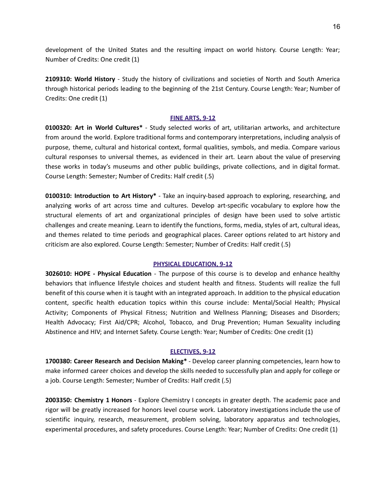development of the United States and the resulting impact on world history. Course Length: Year; Number of Credits: One credit (1)

**2109310: World History** - Study the history of civilizations and societies of North and South America through historical periods leading to the beginning of the 21st Century. Course Length: Year; Number of Credits: One credit (1)

## **FINE ARTS, 9-12**

**0100320: Art in World Cultures\*** - Study selected works of art, utilitarian artworks, and architecture from around the world. Explore traditional forms and contemporary interpretations, including analysis of purpose, theme, cultural and historical context, formal qualities, symbols, and media. Compare various cultural responses to universal themes, as evidenced in their art. Learn about the value of preserving these works in today's museums and other public buildings, private collections, and in digital format. Course Length: Semester; Number of Credits: Half credit (.5)

**0100310: Introduction to Art History\*** - Take an inquiry-based approach to exploring, researching, and analyzing works of art across time and cultures. Develop art-specific vocabulary to explore how the structural elements of art and organizational principles of design have been used to solve artistic challenges and create meaning. Learn to identify the functions, forms, media, styles of art, cultural ideas, and themes related to time periods and geographical places. Career options related to art history and criticism are also explored. Course Length: Semester; Number of Credits: Half credit (.5)

## **PHYSICAL EDUCATION, 9-12**

**3026010: HOPE - Physical Education** - The purpose of this course is to develop and enhance healthy behaviors that influence lifestyle choices and student health and fitness. Students will realize the full benefit of this course when it is taught with an integrated approach. In addition to the physical education content, specific health education topics within this course include: Mental/Social Health; Physical Activity; Components of Physical Fitness; Nutrition and Wellness Planning; Diseases and Disorders; Health Advocacy; First Aid/CPR; Alcohol, Tobacco, and Drug Prevention; Human Sexuality including Abstinence and HIV; and Internet Safety. Course Length: Year; Number of Credits: One credit (1)

## **ELECTIVES, 9-12**

**1700380: Career Research and Decision Making\*** - Develop career planning competencies, learn how to make informed career choices and develop the skills needed to successfully plan and apply for college or a job. Course Length: Semester; Number of Credits: Half credit (.5)

**2003350: Chemistry 1 Honors** - Explore Chemistry I concepts in greater depth. The academic pace and rigor will be greatly increased for honors level course work. Laboratory investigations include the use of scientific inquiry, research, measurement, problem solving, laboratory apparatus and technologies, experimental procedures, and safety procedures. Course Length: Year; Number of Credits: One credit (1)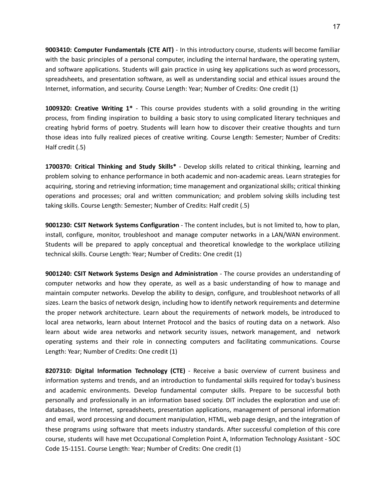**9003410: Computer Fundamentals (CTE AIT)** - In this introductory course, students will become familiar with the basic principles of a personal computer, including the internal hardware, the operating system, and software applications. Students will gain practice in using key applications such as word processors, spreadsheets, and presentation software, as well as understanding social and ethical issues around the Internet, information, and security. Course Length: Year; Number of Credits: One credit (1)

**1009320: Creative Writing 1\*** - This course provides students with a solid grounding in the writing process, from finding inspiration to building a basic story to using complicated literary techniques and creating hybrid forms of poetry. Students will learn how to discover their creative thoughts and turn those ideas into fully realized pieces of creative writing. Course Length: Semester; Number of Credits: Half credit (.5)

**1700370: Critical Thinking and Study Skills\*** - Develop skills related to critical thinking, learning and problem solving to enhance performance in both academic and non-academic areas. Learn strategies for acquiring, storing and retrieving information; time management and organizational skills; critical thinking operations and processes; oral and written communication; and problem solving skills including test taking skills. Course Length: Semester; Number of Credits: Half credit (.5)

**9001230: CSIT Network Systems Configuration** - The content includes, but is not limited to, how to plan, install, configure, monitor, troubleshoot and manage computer networks in a LAN/WAN environment. Students will be prepared to apply conceptual and theoretical knowledge to the workplace utilizing technical skills. Course Length: Year; Number of Credits: One credit (1)

**9001240: CSIT Network Systems Design and Administration** - The course provides an understanding of computer networks and how they operate, as well as a basic understanding of how to manage and maintain computer networks. Develop the ability to design, configure, and troubleshoot networks of all sizes. Learn the basics of network design, including how to identify network requirements and determine the proper network architecture. Learn about the requirements of network models, be introduced to local area networks, learn about Internet Protocol and the basics of routing data on a network. Also learn about wide area networks and network security issues, network management, and network operating systems and their role in connecting computers and facilitating communications. Course Length: Year; Number of Credits: One credit (1)

**8207310: Digital Information Technology (CTE)** - Receive a basic overview of current business and information systems and trends, and an introduction to fundamental skills required for today's business and academic environments. Develop fundamental computer skills. Prepare to be successful both personally and professionally in an information based society. DIT includes the exploration and use of: databases, the Internet, spreadsheets, presentation applications, management of personal information and email, word processing and document manipulation, HTML, web page design, and the integration of these programs using software that meets industry standards. After successful completion of this core course, students will have met Occupational Completion Point A, Information Technology Assistant - SOC Code 15-1151. Course Length: Year; Number of Credits: One credit (1)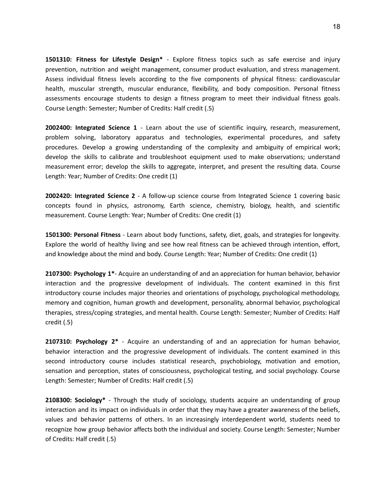**1501310: Fitness for Lifestyle Design\*** - Explore fitness topics such as safe exercise and injury prevention, nutrition and weight management, consumer product evaluation, and stress management. Assess individual fitness levels according to the five components of physical fitness: cardiovascular health, muscular strength, muscular endurance, flexibility, and body composition. Personal fitness assessments encourage students to design a fitness program to meet their individual fitness goals. Course Length: Semester; Number of Credits: Half credit (.5)

**2002400: Integrated Science 1** - Learn about the use of scientific inquiry, research, measurement, problem solving, laboratory apparatus and technologies, experimental procedures, and safety procedures. Develop a growing understanding of the complexity and ambiguity of empirical work; develop the skills to calibrate and troubleshoot equipment used to make observations; understand measurement error; develop the skills to aggregate, interpret, and present the resulting data. Course Length: Year; Number of Credits: One credit (1)

**2002420: Integrated Science 2** - A follow-up science course from Integrated Science 1 covering basic concepts found in physics, astronomy, Earth science, chemistry, biology, health, and scientific measurement. Course Length: Year; Number of Credits: One credit (1)

**1501300: Personal Fitness** - Learn about body functions, safety, diet, goals, and strategies for longevity. Explore the world of healthy living and see how real fitness can be achieved through intention, effort, and knowledge about the mind and body. Course Length: Year; Number of Credits: One credit (1)

**2107300: Psychology 1\***- Acquire an understanding of and an appreciation for human behavior, behavior interaction and the progressive development of individuals. The content examined in this first introductory course includes major theories and orientations of psychology, psychological methodology, memory and cognition, human growth and development, personality, abnormal behavior, psychological therapies, stress/coping strategies, and mental health. Course Length: Semester; Number of Credits: Half credit (.5)

**2107310: Psychology 2\*** - Acquire an understanding of and an appreciation for human behavior, behavior interaction and the progressive development of individuals. The content examined in this second introductory course includes statistical research, psychobiology, motivation and emotion, sensation and perception, states of consciousness, psychological testing, and social psychology. Course Length: Semester; Number of Credits: Half credit (.5)

**2108300: Sociology\*** - Through the study of sociology, students acquire an understanding of group interaction and its impact on individuals in order that they may have a greater awareness of the beliefs, values and behavior patterns of others. In an increasingly interdependent world, students need to recognize how group behavior affects both the individual and society. Course Length: Semester; Number of Credits: Half credit (.5)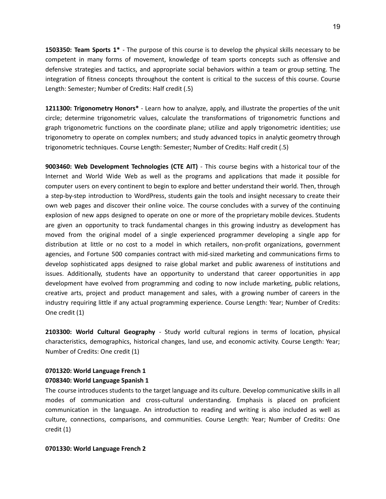**1503350: Team Sports 1\*** - The purpose of this course is to develop the physical skills necessary to be competent in many forms of movement, knowledge of team sports concepts such as offensive and defensive strategies and tactics, and appropriate social behaviors within a team or group setting. The integration of fitness concepts throughout the content is critical to the success of this course. Course Length: Semester; Number of Credits: Half credit (.5)

**1211300: Trigonometry Honors\*** - Learn how to analyze, apply, and illustrate the properties of the unit circle; determine trigonometric values, calculate the transformations of trigonometric functions and graph trigonometric functions on the coordinate plane; utilize and apply trigonometric identities; use trigonometry to operate on complex numbers; and study advanced topics in analytic geometry through trigonometric techniques. Course Length: Semester; Number of Credits: Half credit (.5)

**9003460: Web Development Technologies (CTE AIT)** - This course begins with a historical tour of the Internet and World Wide Web as well as the programs and applications that made it possible for computer users on every continent to begin to explore and better understand their world. Then, through a step-by-step introduction to WordPress, students gain the tools and insight necessary to create their own web pages and discover their online voice. The course concludes with a survey of the continuing explosion of new apps designed to operate on one or more of the proprietary mobile devices. Students are given an opportunity to track fundamental changes in this growing industry as development has moved from the original model of a single experienced programmer developing a single app for distribution at little or no cost to a model in which retailers, non-profit organizations, government agencies, and Fortune 500 companies contract with mid-sized marketing and communications firms to develop sophisticated apps designed to raise global market and public awareness of institutions and issues. Additionally, students have an opportunity to understand that career opportunities in app development have evolved from programming and coding to now include marketing, public relations, creative arts, project and product management and sales, with a growing number of careers in the industry requiring little if any actual programming experience. Course Length: Year; Number of Credits: One credit (1)

**2103300: World Cultural Geography** - Study world cultural regions in terms of location, physical characteristics, demographics, historical changes, land use, and economic activity. Course Length: Year; Number of Credits: One credit (1)

# **0701320: World Language French 1 0708340: World Language Spanish 1**

The course introduces students to the target language and its culture. Develop communicative skills in all modes of communication and cross-cultural understanding. Emphasis is placed on proficient communication in the language. An introduction to reading and writing is also included as well as culture, connections, comparisons, and communities. Course Length: Year; Number of Credits: One credit (1)

## **0701330: World Language French 2**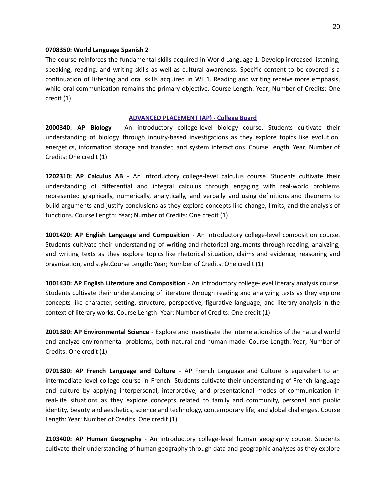#### **0708350: World Language Spanish 2**

The course reinforces the fundamental skills acquired in World Language 1. Develop increased listening, speaking, reading, and writing skills as well as cultural awareness. Specific content to be covered is a continuation of listening and oral skills acquired in WL 1. Reading and writing receive more emphasis, while oral communication remains the primary objective. Course Length: Year; Number of Credits: One credit (1)

#### **ADVANCED PLACEMENT (AP) - College Board**

**2000340: AP Biology** - An introductory college-level biology course. Students cultivate their understanding of biology through inquiry-based investigations as they explore topics like evolution, energetics, information storage and transfer, and system interactions. Course Length: Year; Number of Credits: One credit (1)

**1202310: AP Calculus AB** - An introductory college-level calculus course. Students cultivate their understanding of differential and integral calculus through engaging with real-world problems represented graphically, numerically, analytically, and verbally and using definitions and theorems to build arguments and justify conclusions as they explore concepts like change, limits, and the analysis of functions. Course Length: Year; Number of Credits: One credit (1)

**1001420: AP English Language and Composition** - An introductory college-level composition course. Students cultivate their understanding of writing and rhetorical arguments through reading, analyzing, and writing texts as they explore topics like rhetorical situation, claims and evidence, reasoning and organization, and style.Course Length: Year; Number of Credits: One credit (1)

**1001430: AP English Literature and Composition** - An introductory college-level literary analysis course. Students cultivate their understanding of literature through reading and analyzing texts as they explore concepts like character, setting, structure, perspective, figurative language, and literary analysis in the context of literary works. Course Length: Year; Number of Credits: One credit (1)

**2001380: AP Environmental Science** - Explore and investigate the interrelationships of the natural world and analyze environmental problems, both natural and human-made. Course Length: Year; Number of Credits: One credit (1)

**0701380: AP French Language and Culture** - AP French Language and Culture is equivalent to an intermediate level college course in French. Students cultivate their understanding of French language and culture by applying interpersonal, interpretive, and presentational modes of communication in real-life situations as they explore concepts related to family and community, personal and public identity, beauty and aesthetics, science and technology, contemporary life, and global challenges. Course Length: Year; Number of Credits: One credit (1)

**2103400: AP Human Geography** - An introductory college-level human geography course. Students cultivate their understanding of human geography through data and geographic analyses as they explore